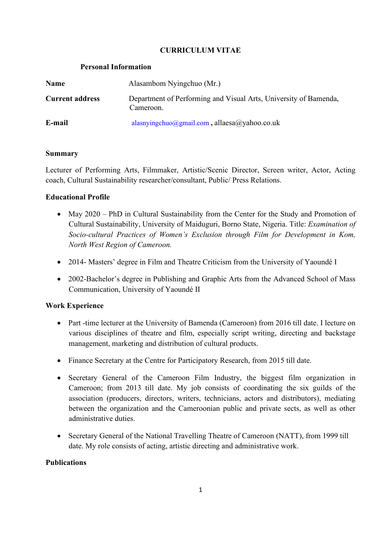# **CURRICULUM VITAE**

#### **Personal Information**

| Name                   | Alasambom Nyingchuo (Mr.)                                                     |
|------------------------|-------------------------------------------------------------------------------|
| <b>Current address</b> | Department of Performing and Visual Arts, University of Bamenda,<br>Cameroon. |
| E-mail                 | alasnyingchuo@gmail.com, allaesa@yahoo.co.uk                                  |

### **Summary**

Lecturer of Performing Arts, Filmmaker, Artistic/Scenic Director, Screen writer, Actor, Acting coach, Cultural Sustainability researcher/consultant, Public/ Press Relations.

# **Educational Profile**

- May 2020 PhD in Cultural Sustainability from the Center for the Study and Promotion of Cultural Sustainability, University of Maiduguri, Borno State, Nigeria. Title: *Examination of Socio-cultural Practices of Women's Exclusion through Film for Development in Kom, North West Region of Cameroon.*
- 2014- Masters' degree in Film and Theatre Criticism from the University of Yaoundé I
- 2002-Bachelor's degree in Publishing and Graphic Arts from the Advanced School of Mass Communication, University of Yaoundé II

# **Work Experience**

- Part -time lecturer at the University of Bamenda (Cameroon) from 2016 till date. I lecture on various disciplines of theatre and film, especially script writing, directing and backstage management, marketing and distribution of cultural products.
- Finance Secretary at the Centre for Participatory Research, from 2015 till date.
- Secretary General of the Cameroon Film Industry, the biggest film organization in Cameroon; from 2013 till date. My job consists of coordinating the six guilds of the association (producers, directors, writers, technicians, actors and distributors), mediating between the organization and the Cameroonian public and private sects, as well as other administrative duties.
- Secretary General of the National Travelling Theatre of Cameroon (NATT), from 1999 till date. My role consists of acting, artistic directing and administrative work.

# **Publications**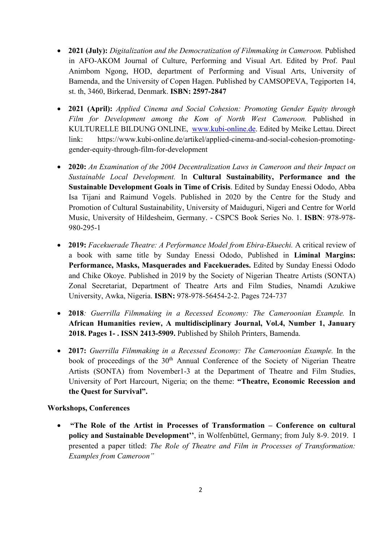- **2021 (July):** *Digitalization and the Democratization of Filmmaking in Cameroon.* Published in AFO-AKOM Journal of Culture, Performing and Visual Art. Edited by Prof. Paul Animbom Ngong, HOD, department of Performing and Visual Arts, University of Bamenda, and the University of Copen Hagen. Published by CAMSOPEVA, Tegiporten 14, st. th, 3460, Birkerad, Denmark. **ISBN: 2597-2847**
- **2021 (April):** *Applied Cinema and Social Cohesion: Promoting Gender Equity through Film for Development among the Kom of North West Cameroon.* Published in KULTURELLE BILDUNG ONLINE, [www.kubi-online.de.](http://www.kubi-online.de/) Edited by Meike Lettau. Direct link: https://www.kubi-online.de/artikel/applied-cinema-and-social-cohesion-promotinggender-equity-through-film-for-development
- **2020:** *An Examination of the 2004 Decentralization Laws in Cameroon and their Impact on Sustainable Local Development.* In **Cultural Sustainability, Performance and the Sustainable Development Goals in Time of Crisis**. Edited by Sunday Enessi Ododo, Abba Isa Tijani and Raimund Vogels. Published in 2020 by the Centre for the Study and Promotion of Cultural Sustainability, University of Maiduguri, Nigeri and Centre for World Music, University of Hildesheim, Germany. - CSPCS Book Series No. 1. **ISBN**: 978-978- 980-295-1
- **2019:** *Facekuerade Theatre: A Performance Model from Ebira-Ekuechi.* A critical review of a book with same title by Sunday Enessi Ododo, Published in **Liminal Margins: Performance, Masks, Masquerades and Facekuerades.** Edited by Sunday Enessi Ododo and Chike Okoye. Published in 2019 by the Society of Nigerian Theatre Artists (SONTA) Zonal Secretariat, Department of Theatre Arts and Film Studies, Nnamdi Azukiwe University, Awka, Nigeria. **ISBN:** 978-978-56454-2-2. Pages 724-737
- **2018***: Guerrilla Filmmaking in a Recessed Economy: The Cameroonian Example.* In **African Humanities review, A multidisciplinary Journal, Vol.4, Number 1, January 2018. Pages 1- . ISSN 2413-5909.** Published by Shiloh Printers, Bamenda.
- **2017:** *Guerrilla Filmmaking in a Recessed Economy: The Cameroonian Example.* In the book of proceedings of the 30<sup>th</sup> Annual Conference of the Society of Nigerian Theatre Artists (SONTA) from November1-3 at the Department of Theatre and Film Studies, University of Port Harcourt, Nigeria; on the theme: **"Theatre, Economic Recession and the Quest for Survival".**

#### **Workshops, Conferences**

• **"The Role of the Artist in Processes of Transformation – Conference on cultural policy and Sustainable Development''**, in Wolfenbüttel, Germany; from July 8-9. 2019. I presented a paper titled: *The Role of Theatre and Film in Processes of Transformation: Examples from Cameroon"*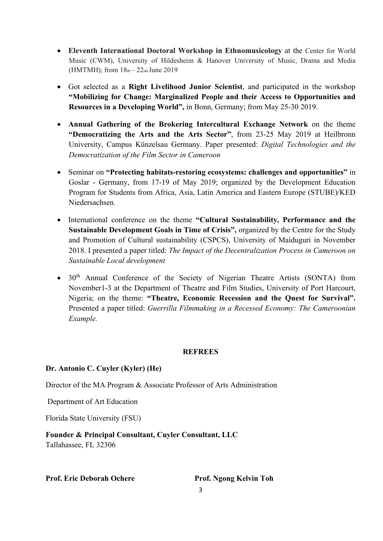- **Eleventh International Doctoral Workshop in Ethnomusicology** at the Center for World Music (CWM), University of Hildesheim & Hanover University of Music, Drama and Media (HMTMH); from  $18<sub>th</sub> - 22<sub>nd</sub>$  June 2019
- Got selected as a **Right Livelihood Junior Scientist**, and participated in the workshop **"Mobilizing for Change: Marginalized People and their Access to Opportunities and Resources in a Developing World",** in Bonn, Germany; from May 25-30 2019.
- **Annual Gathering of the Brokering Intercultural Exchange Network** on the theme **"Democratizing the Arts and the Arts Sector"**, from 23-25 May 2019 at Heilbronn University, Campus Künzelsau Germany. Paper presented: *Digital Technologies and the Democratization of the Film Sector in Cameroon*
- Seminar on **"Protecting habitats-restoring ecosystems: challenges and opportunities"** in Goslar - Germany, from 17-19 of May 2019; organized by the Development Education Program for Students from Africa, Asia, Latin America and Eastern Europe (STUBE)/KED Niedersachsen.
- International conference on the theme **"Cultural Sustainability, Performance and the Sustainable Development Goals in Time of Crisis",** organized by the Centre for the Study and Promotion of Cultural sustainability (CSPCS), University of Maiduguri in November 2018. I presented a paper titled: *The Impact of the Decentralization Process in Cameroon on Sustainable Local development*
- $30<sup>th</sup>$  Annual Conference of the Society of Nigerian Theatre Artists (SONTA) from November1-3 at the Department of Theatre and Film Studies, University of Port Harcourt, Nigeria; on the theme: **"Theatre, Economic Recession and the Quest for Survival".** Presented a paper titled: *Guerrilla Filmmaking in a Recessed Economy: The Cameroonian Example.*

#### **REFREES**

#### **Dr. Antonio C. Cuyler (Kyler) (He)**

Director of the MA Program & Associate Professor of Arts Administration

Department of Art Education

Florida State University (FSU)

**Founder & Principal Consultant, Cuyler Consultant, LLC** Tallahassee, FL 32306

**Prof. Eric Deborah Ochere Prof. Ngong Kelvin Toh**